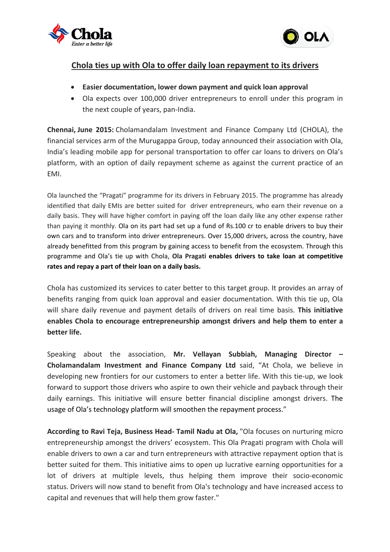



## **Chola ties up with Ola to offer daily loan repayment to its drivers**

- **Easier documentation, lower down payment and quick loan approval**
- Ola expects over 100,000 driver entrepreneurs to enroll under this program in the next couple of years, pan‐India.

**Chennai, June 2015:** Cholamandalam Investment and Finance Company Ltd (CHOLA), the financial services arm of the Murugappa Group, today announced their association with Ola, India's leading mobile app for personal transportation to offer car loans to drivers on Ola's platform, with an option of daily repayment scheme as against the current practice of an EMI.

Ola launched the "Pragati" programme for its drivers in February 2015. The programme has already identified that daily EMIs are better suited for driver entrepreneurs, who earn their revenue on a daily basis. They will have higher comfort in paying off the loan daily like any other expense rather than paying it monthly. Ola on its part had set up a fund of Rs.100 cr to enable drivers to buy their own cars and to transform into driver entrepreneurs. Over 15,000 drivers, across the country, have already benefitted from this program by gaining access to benefit from the ecosystem. Through this programme and Ola's tie up with Chola, **Ola Pragati enables drivers to take loan at competitive rates and repay a part of their loan on a daily basis.**

Chola has customized its services to cater better to this target group. It provides an array of benefits ranging from quick loan approval and easier documentation. With this tie up, Ola will share daily revenue and payment details of drivers on real time basis. **This initiative enables Chola to encourage entrepreneurship amongst drivers and help them to enter a better life.** 

Speaking about the association, **Mr. Vellayan Subbiah, Managing Director – Cholamandalam Investment and Finance Company Ltd** said, "At Chola, we believe in developing new frontiers for our customers to enter a better life. With this tie‐up, we look forward to support those drivers who aspire to own their vehicle and payback through their daily earnings. This initiative will ensure better financial discipline amongst drivers. The usage of Ola's technology platform will smoothen the repayment process."

**According to Ravi Teja, Business Head‐ Tamil Nadu at Ola,** "Ola focuses on nurturing micro entrepreneurship amongst the drivers' ecosystem. This Ola Pragati program with Chola will enable drivers to own a car and turn entrepreneurs with attractive repayment option that is better suited for them. This initiative aims to open up lucrative earning opportunities for a lot of drivers at multiple levels, thus helping them improve their socio‐economic status. Drivers will now stand to benefit from Ola's technology and have increased access to capital and revenues that will help them grow faster."